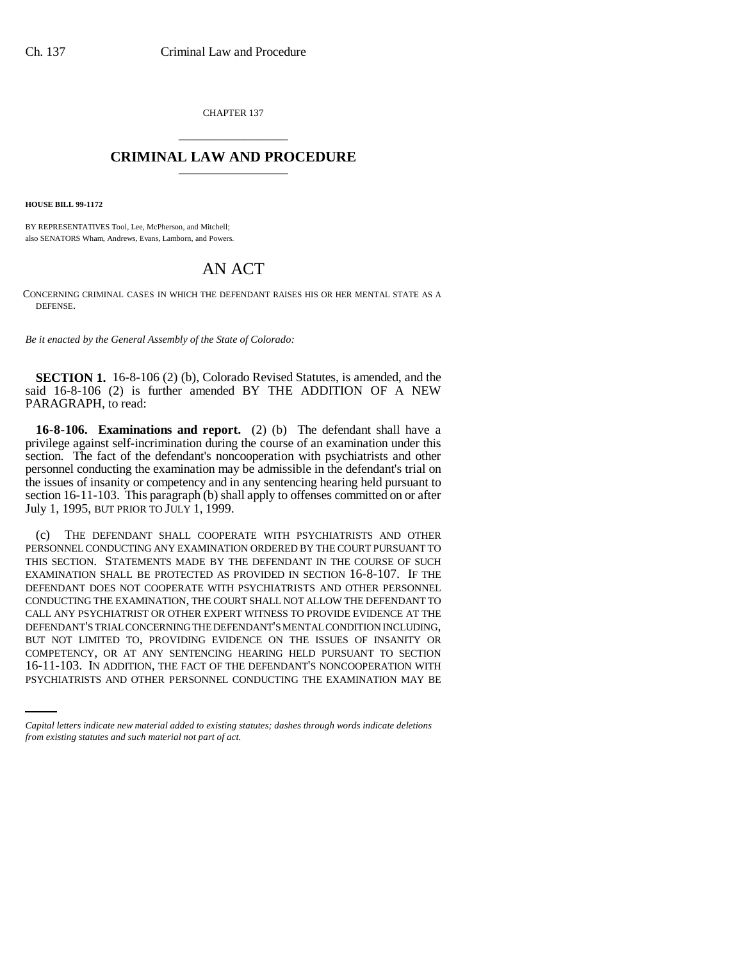CHAPTER 137 \_\_\_\_\_\_\_\_\_\_\_\_\_\_\_

## **CRIMINAL LAW AND PROCEDURE** \_\_\_\_\_\_\_\_\_\_\_\_\_\_\_

**HOUSE BILL 99-1172** 

BY REPRESENTATIVES Tool, Lee, McPherson, and Mitchell; also SENATORS Wham, Andrews, Evans, Lamborn, and Powers.

## AN ACT

CONCERNING CRIMINAL CASES IN WHICH THE DEFENDANT RAISES HIS OR HER MENTAL STATE AS A DEFENSE.

*Be it enacted by the General Assembly of the State of Colorado:*

**SECTION 1.** 16-8-106 (2) (b), Colorado Revised Statutes, is amended, and the said 16-8-106 (2) is further amended BY THE ADDITION OF A NEW PARAGRAPH, to read:

**16-8-106. Examinations and report.** (2) (b) The defendant shall have a privilege against self-incrimination during the course of an examination under this section. The fact of the defendant's noncooperation with psychiatrists and other personnel conducting the examination may be admissible in the defendant's trial on the issues of insanity or competency and in any sentencing hearing held pursuant to section 16-11-103. This paragraph (b) shall apply to offenses committed on or after July 1, 1995, BUT PRIOR TO JULY 1, 1999.

COMPETENCY, OR AT ANY SENTENCING HEARING HELD PURSUANT TO SECTION (c) THE DEFENDANT SHALL COOPERATE WITH PSYCHIATRISTS AND OTHER PERSONNEL CONDUCTING ANY EXAMINATION ORDERED BY THE COURT PURSUANT TO THIS SECTION. STATEMENTS MADE BY THE DEFENDANT IN THE COURSE OF SUCH EXAMINATION SHALL BE PROTECTED AS PROVIDED IN SECTION 16-8-107. IF THE DEFENDANT DOES NOT COOPERATE WITH PSYCHIATRISTS AND OTHER PERSONNEL CONDUCTING THE EXAMINATION, THE COURT SHALL NOT ALLOW THE DEFENDANT TO CALL ANY PSYCHIATRIST OR OTHER EXPERT WITNESS TO PROVIDE EVIDENCE AT THE DEFENDANT'S TRIAL CONCERNING THE DEFENDANT'S MENTAL CONDITION INCLUDING, BUT NOT LIMITED TO, PROVIDING EVIDENCE ON THE ISSUES OF INSANITY OR 16-11-103. IN ADDITION, THE FACT OF THE DEFENDANT'S NONCOOPERATION WITH PSYCHIATRISTS AND OTHER PERSONNEL CONDUCTING THE EXAMINATION MAY BE

*Capital letters indicate new material added to existing statutes; dashes through words indicate deletions from existing statutes and such material not part of act.*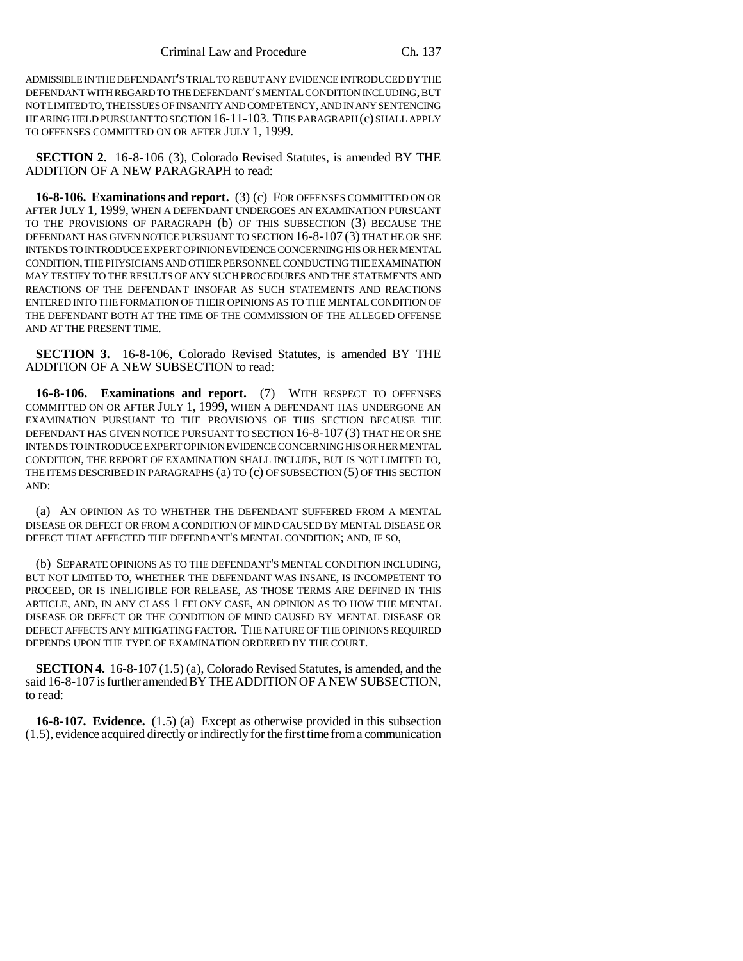ADMISSIBLE IN THE DEFENDANT'S TRIAL TO REBUT ANY EVIDENCE INTRODUCED BY THE DEFENDANT WITH REGARD TO THE DEFENDANT'S MENTAL CONDITION INCLUDING, BUT NOT LIMITED TO, THE ISSUES OF INSANITY AND COMPETENCY, AND IN ANY SENTENCING HEARING HELD PURSUANT TO SECTION 16-11-103. THIS PARAGRAPH (c) SHALL APPLY TO OFFENSES COMMITTED ON OR AFTER JULY 1, 1999.

**SECTION 2.** 16-8-106 (3), Colorado Revised Statutes, is amended BY THE ADDITION OF A NEW PARAGRAPH to read:

**16-8-106. Examinations and report.** (3) (c) FOR OFFENSES COMMITTED ON OR AFTER JULY 1, 1999, WHEN A DEFENDANT UNDERGOES AN EXAMINATION PURSUANT TO THE PROVISIONS OF PARAGRAPH (b) OF THIS SUBSECTION (3) BECAUSE THE DEFENDANT HAS GIVEN NOTICE PURSUANT TO SECTION 16-8-107 (3) THAT HE OR SHE INTENDS TO INTRODUCE EXPERT OPINION EVIDENCE CONCERNING HIS OR HER MENTAL CONDITION, THE PHYSICIANS AND OTHER PERSONNEL CONDUCTING THE EXAMINATION MAY TESTIFY TO THE RESULTS OF ANY SUCH PROCEDURES AND THE STATEMENTS AND REACTIONS OF THE DEFENDANT INSOFAR AS SUCH STATEMENTS AND REACTIONS ENTERED INTO THE FORMATION OF THEIR OPINIONS AS TO THE MENTAL CONDITION OF THE DEFENDANT BOTH AT THE TIME OF THE COMMISSION OF THE ALLEGED OFFENSE AND AT THE PRESENT TIME.

**SECTION 3.** 16-8-106, Colorado Revised Statutes, is amended BY THE ADDITION OF A NEW SUBSECTION to read:

**16-8-106. Examinations and report.** (7) WITH RESPECT TO OFFENSES COMMITTED ON OR AFTER JULY 1, 1999, WHEN A DEFENDANT HAS UNDERGONE AN EXAMINATION PURSUANT TO THE PROVISIONS OF THIS SECTION BECAUSE THE DEFENDANT HAS GIVEN NOTICE PURSUANT TO SECTION 16-8-107 (3) THAT HE OR SHE INTENDS TO INTRODUCE EXPERT OPINION EVIDENCE CONCERNING HIS OR HER MENTAL CONDITION, THE REPORT OF EXAMINATION SHALL INCLUDE, BUT IS NOT LIMITED TO, THE ITEMS DESCRIBED IN PARAGRAPHS (a) TO (c) OF SUBSECTION (5) OF THIS SECTION AND:

(a) AN OPINION AS TO WHETHER THE DEFENDANT SUFFERED FROM A MENTAL DISEASE OR DEFECT OR FROM A CONDITION OF MIND CAUSED BY MENTAL DISEASE OR DEFECT THAT AFFECTED THE DEFENDANT'S MENTAL CONDITION; AND, IF SO,

(b) SEPARATE OPINIONS AS TO THE DEFENDANT'S MENTAL CONDITION INCLUDING, BUT NOT LIMITED TO, WHETHER THE DEFENDANT WAS INSANE, IS INCOMPETENT TO PROCEED, OR IS INELIGIBLE FOR RELEASE, AS THOSE TERMS ARE DEFINED IN THIS ARTICLE, AND, IN ANY CLASS 1 FELONY CASE, AN OPINION AS TO HOW THE MENTAL DISEASE OR DEFECT OR THE CONDITION OF MIND CAUSED BY MENTAL DISEASE OR DEFECT AFFECTS ANY MITIGATING FACTOR. THE NATURE OF THE OPINIONS REQUIRED DEPENDS UPON THE TYPE OF EXAMINATION ORDERED BY THE COURT.

**SECTION 4.** 16-8-107 (1.5) (a), Colorado Revised Statutes, is amended, and the said 16-8-107 is further amended BY THE ADDITION OF A NEW SUBSECTION, to read:

**16-8-107. Evidence.** (1.5) (a) Except as otherwise provided in this subsection (1.5), evidence acquired directly or indirectly for the first time from a communication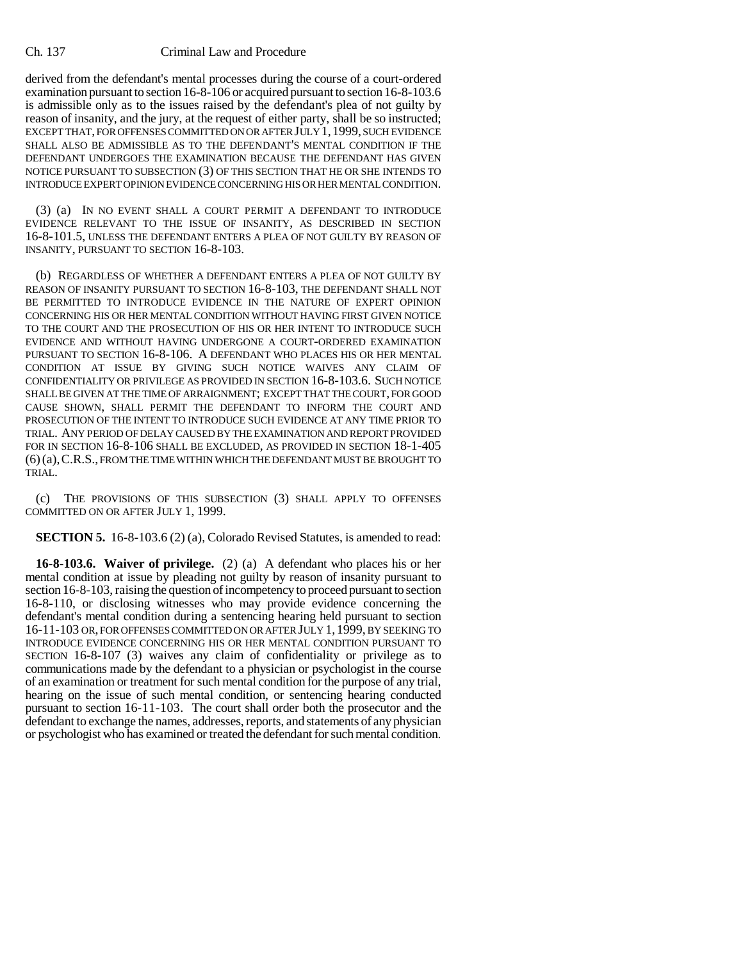## Ch. 137 Criminal Law and Procedure

derived from the defendant's mental processes during the course of a court-ordered examination pursuant to section 16-8-106 or acquired pursuant to section 16-8-103.6 is admissible only as to the issues raised by the defendant's plea of not guilty by reason of insanity, and the jury, at the request of either party, shall be so instructed; EXCEPT THAT, FOR OFFENSES COMMITTED ON OR AFTER JULY 1,1999, SUCH EVIDENCE SHALL ALSO BE ADMISSIBLE AS TO THE DEFENDANT'S MENTAL CONDITION IF THE DEFENDANT UNDERGOES THE EXAMINATION BECAUSE THE DEFENDANT HAS GIVEN NOTICE PURSUANT TO SUBSECTION (3) OF THIS SECTION THAT HE OR SHE INTENDS TO INTRODUCE EXPERT OPINION EVIDENCE CONCERNING HIS OR HER MENTAL CONDITION.

(3) (a) IN NO EVENT SHALL A COURT PERMIT A DEFENDANT TO INTRODUCE EVIDENCE RELEVANT TO THE ISSUE OF INSANITY, AS DESCRIBED IN SECTION 16-8-101.5, UNLESS THE DEFENDANT ENTERS A PLEA OF NOT GUILTY BY REASON OF INSANITY, PURSUANT TO SECTION 16-8-103.

(b) REGARDLESS OF WHETHER A DEFENDANT ENTERS A PLEA OF NOT GUILTY BY REASON OF INSANITY PURSUANT TO SECTION 16-8-103, THE DEFENDANT SHALL NOT BE PERMITTED TO INTRODUCE EVIDENCE IN THE NATURE OF EXPERT OPINION CONCERNING HIS OR HER MENTAL CONDITION WITHOUT HAVING FIRST GIVEN NOTICE TO THE COURT AND THE PROSECUTION OF HIS OR HER INTENT TO INTRODUCE SUCH EVIDENCE AND WITHOUT HAVING UNDERGONE A COURT-ORDERED EXAMINATION PURSUANT TO SECTION 16-8-106. A DEFENDANT WHO PLACES HIS OR HER MENTAL CONDITION AT ISSUE BY GIVING SUCH NOTICE WAIVES ANY CLAIM OF CONFIDENTIALITY OR PRIVILEGE AS PROVIDED IN SECTION 16-8-103.6. SUCH NOTICE SHALL BE GIVEN AT THE TIME OF ARRAIGNMENT; EXCEPT THAT THE COURT, FOR GOOD CAUSE SHOWN, SHALL PERMIT THE DEFENDANT TO INFORM THE COURT AND PROSECUTION OF THE INTENT TO INTRODUCE SUCH EVIDENCE AT ANY TIME PRIOR TO TRIAL. ANY PERIOD OF DELAY CAUSED BY THE EXAMINATION AND REPORT PROVIDED FOR IN SECTION 16-8-106 SHALL BE EXCLUDED, AS PROVIDED IN SECTION 18-1-405 (6)(a),C.R.S., FROM THE TIME WITHIN WHICH THE DEFENDANT MUST BE BROUGHT TO TRIAL.

(c) THE PROVISIONS OF THIS SUBSECTION (3) SHALL APPLY TO OFFENSES COMMITTED ON OR AFTER JULY 1, 1999.

**SECTION 5.** 16-8-103.6 (2) (a), Colorado Revised Statutes, is amended to read:

**16-8-103.6. Waiver of privilege.** (2) (a) A defendant who places his or her mental condition at issue by pleading not guilty by reason of insanity pursuant to section 16-8-103, raising the question of incompetency to proceed pursuant to section 16-8-110, or disclosing witnesses who may provide evidence concerning the defendant's mental condition during a sentencing hearing held pursuant to section 16-11-103 OR, FOR OFFENSES COMMITTED ON OR AFTER JULY 1, 1999, BY SEEKING TO INTRODUCE EVIDENCE CONCERNING HIS OR HER MENTAL CONDITION PURSUANT TO SECTION 16-8-107 (3) waives any claim of confidentiality or privilege as to communications made by the defendant to a physician or psychologist in the course of an examination or treatment for such mental condition for the purpose of any trial, hearing on the issue of such mental condition, or sentencing hearing conducted pursuant to section 16-11-103. The court shall order both the prosecutor and the defendant to exchange the names, addresses, reports, and statements of any physician or psychologist who has examined or treated the defendant for such mental condition.